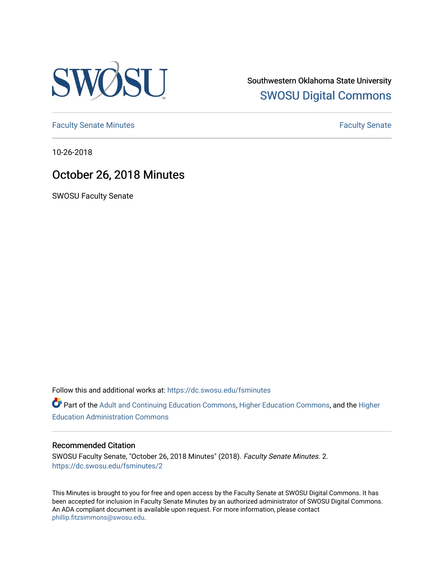

Southwestern Oklahoma State University [SWOSU Digital Commons](https://dc.swosu.edu/) 

[Faculty Senate Minutes](https://dc.swosu.edu/fsminutes) **Faculty** Senate Minutes

10-26-2018

## October 26, 2018 Minutes

SWOSU Faculty Senate

Follow this and additional works at: [https://dc.swosu.edu/fsminutes](https://dc.swosu.edu/fsminutes?utm_source=dc.swosu.edu%2Ffsminutes%2F2&utm_medium=PDF&utm_campaign=PDFCoverPages) 

Part of the [Adult and Continuing Education Commons,](http://network.bepress.com/hgg/discipline/1375?utm_source=dc.swosu.edu%2Ffsminutes%2F2&utm_medium=PDF&utm_campaign=PDFCoverPages) [Higher Education Commons,](http://network.bepress.com/hgg/discipline/1245?utm_source=dc.swosu.edu%2Ffsminutes%2F2&utm_medium=PDF&utm_campaign=PDFCoverPages) and the [Higher](http://network.bepress.com/hgg/discipline/791?utm_source=dc.swosu.edu%2Ffsminutes%2F2&utm_medium=PDF&utm_campaign=PDFCoverPages) [Education Administration Commons](http://network.bepress.com/hgg/discipline/791?utm_source=dc.swosu.edu%2Ffsminutes%2F2&utm_medium=PDF&utm_campaign=PDFCoverPages) 

#### Recommended Citation

SWOSU Faculty Senate, "October 26, 2018 Minutes" (2018). Faculty Senate Minutes. 2. [https://dc.swosu.edu/fsminutes/2](https://dc.swosu.edu/fsminutes/2?utm_source=dc.swosu.edu%2Ffsminutes%2F2&utm_medium=PDF&utm_campaign=PDFCoverPages)

This Minutes is brought to you for free and open access by the Faculty Senate at SWOSU Digital Commons. It has been accepted for inclusion in Faculty Senate Minutes by an authorized administrator of SWOSU Digital Commons. An ADA compliant document is available upon request. For more information, please contact [phillip.fitzsimmons@swosu.edu](mailto:phillip.fitzsimmons@swosu.edu).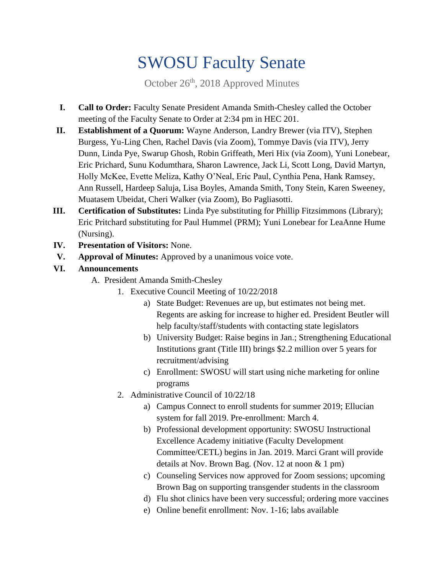# SWOSU Faculty Senate

October 26<sup>th</sup>, 2018 Approved Minutes

- **I. Call to Order:** Faculty Senate President Amanda Smith-Chesley called the October meeting of the Faculty Senate to Order at 2:34 pm in HEC 201.
- **II. Establishment of a Quorum:** Wayne Anderson, Landry Brewer (via ITV), Stephen Burgess, Yu-Ling Chen, Rachel Davis (via Zoom), Tommye Davis (via ITV), Jerry Dunn, Linda Pye, Swarup Ghosh, Robin Griffeath, Meri Hix (via Zoom), Yuni Lonebear, Eric Prichard, Sunu Kodumthara, Sharon Lawrence, Jack Li, Scott Long, David Martyn, Holly McKee, Evette Meliza, Kathy O'Neal, Eric Paul, Cynthia Pena, Hank Ramsey, Ann Russell, Hardeep Saluja, Lisa Boyles, Amanda Smith, Tony Stein, Karen Sweeney, Muatasem Ubeidat, Cheri Walker (via Zoom), Bo Pagliasotti.
- **III. Certification of Substitutes:** Linda Pye substituting for Phillip Fitzsimmons (Library); Eric Pritchard substituting for Paul Hummel (PRM); Yuni Lonebear for LeaAnne Hume (Nursing).
- **IV. Presentation of Visitors:** None.
- **V. Approval of Minutes:** Approved by a unanimous voice vote.

### **VI. Announcements**

- A. President Amanda Smith-Chesley
	- 1. Executive Council Meeting of 10/22/2018
		- a) State Budget: Revenues are up, but estimates not being met. Regents are asking for increase to higher ed. President Beutler will help faculty/staff/students with contacting state legislators
		- b) University Budget: Raise begins in Jan.; Strengthening Educational Institutions grant (Title III) brings \$2.2 million over 5 years for recruitment/advising
		- c) Enrollment: SWOSU will start using niche marketing for online programs
	- 2. Administrative Council of 10/22/18
		- a) Campus Connect to enroll students for summer 2019; Ellucian system for fall 2019. Pre-enrollment: March 4.
		- b) Professional development opportunity: SWOSU Instructional Excellence Academy initiative (Faculty Development Committee/CETL) begins in Jan. 2019. Marci Grant will provide details at Nov. Brown Bag. (Nov. 12 at noon & 1 pm)
		- c) Counseling Services now approved for Zoom sessions; upcoming Brown Bag on supporting transgender students in the classroom
		- d) Flu shot clinics have been very successful; ordering more vaccines
		- e) Online benefit enrollment: Nov. 1-16; labs available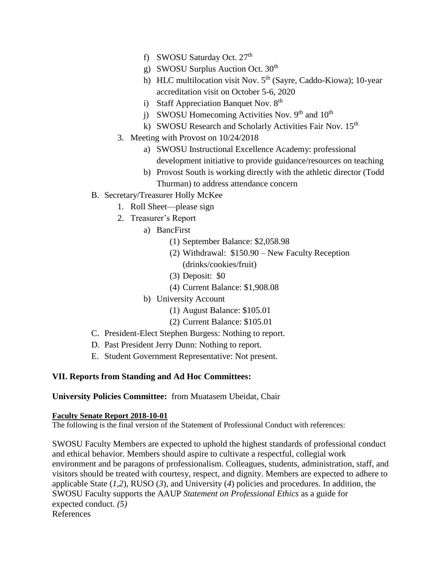- f) SWOSU Saturday Oct. 27<sup>th</sup>
- g) SWOSU Surplus Auction Oct. 30<sup>th</sup>
- h) HLC multilocation visit Nov.  $5<sup>th</sup>$  (Sayre, Caddo-Kiowa); 10-year accreditation visit on October 5-6, 2020
- i) Staff Appreciation Banquet Nov.  $8<sup>th</sup>$
- j) SWOSU Homecoming Activities Nov.  $9<sup>th</sup>$  and  $10<sup>th</sup>$
- k) SWOSU Research and Scholarly Activities Fair Nov. 15<sup>th</sup>
- 3. Meeting with Provost on 10/24/2018
	- a) SWOSU Instructional Excellence Academy: professional development initiative to provide guidance/resources on teaching
	- b) Provost South is working directly with the athletic director (Todd Thurman) to address attendance concern
- B. Secretary/Treasurer Holly McKee
	- 1. Roll Sheet—please sign
	- 2. Treasurer's Report
		- a) BancFirst
			- (1) September Balance: \$2,058.98
			- (2) Withdrawal: \$150.90 New Faculty Reception (drinks/cookies/fruit)
			- (3) Deposit: \$0
			- (4) Current Balance: \$1,908.08
		- b) University Account
			- (1) August Balance: \$105.01
			- (2) Current Balance: \$105.01
- C. President-Elect Stephen Burgess: Nothing to report.
- D. Past President Jerry Dunn: Nothing to report.
- E. Student Government Representative: Not present.

#### **VII. Reports from Standing and Ad Hoc Committees:**

#### **University Policies Committee:** from Muatasem Ubeidat, Chair

#### **Faculty Senate Report 2018-10-01**

The following is the final version of the Statement of Professional Conduct with references:

SWOSU Faculty Members are expected to uphold the highest standards of professional conduct and ethical behavior. Members should aspire to cultivate a respectful, collegial work environment and be paragons of professionalism. Colleagues, students, administration, staff, and visitors should be treated with courtesy, respect, and dignity. Members are expected to adhere to applicable State (*1,2*), RUSO (*3*), and University (*4*) policies and procedures. In addition, the SWOSU Faculty supports the AAUP *Statement on Professional Ethics* as a guide for expected conduct*. (5)*  References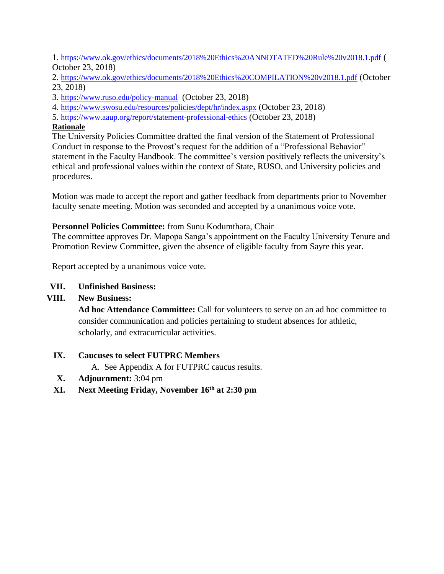1. <https://www.ok.gov/ethics/documents/2018%20Ethics%20ANNOTATED%20Rule%20v2018.1.pdf> ( October 23, 2018)

2. <https://www.ok.gov/ethics/documents/2018%20Ethics%20COMPILATION%20v2018.1.pdf> (October 23, 2018)

- 3. <https://www.ruso.edu/policy-manual> (October 23, 2018)
- 4. <https://www.swosu.edu/resources/policies/dept/hr/index.aspx> (October 23, 2018)
- 5. <https://www.aaup.org/report/statement-professional-ethics> (October 23, 2018)

#### **Rationale**

The University Policies Committee drafted the final version of the Statement of Professional Conduct in response to the Provost's request for the addition of a "Professional Behavior" statement in the Faculty Handbook. The committee's version positively reflects the university's ethical and professional values within the context of State, RUSO, and University policies and procedures.

Motion was made to accept the report and gather feedback from departments prior to November faculty senate meeting. Motion was seconded and accepted by a unanimous voice vote.

#### **Personnel Policies Committee:** from Sunu Kodumthara, Chair

The committee approves Dr. Mapopa Sanga's appointment on the Faculty University Tenure and Promotion Review Committee, given the absence of eligible faculty from Sayre this year.

Report accepted by a unanimous voice vote.

#### **VII. Unfinished Business:**

#### **VIII. New Business:**

**Ad hoc Attendance Committee:** Call for volunteers to serve on an ad hoc committee to consider communication and policies pertaining to student absences for athletic, scholarly, and extracurricular activities.

#### **IX. Caucuses to select FUTPRC Members**

A. See Appendix A for FUTPRC caucus results.

- **X. Adjournment:** 3:04 pm
- **XI. Next Meeting Friday, November 16th at 2:30 pm**